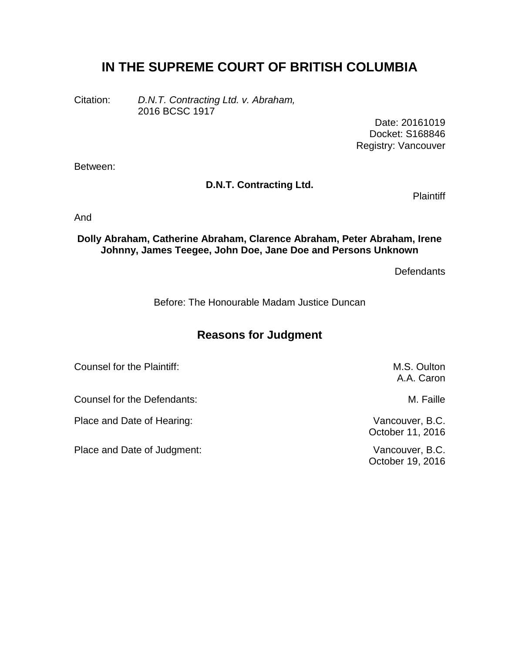# **IN THE SUPREME COURT OF BRITISH COLUMBIA**

Citation: *D.N.T. Contracting Ltd. v. Abraham,* 2016 BCSC 1917

> Date: 20161019 Docket: S168846 Registry: Vancouver

Between:

#### **D.N.T. Contracting Ltd.**

**Plaintiff** 

And

**Dolly Abraham, Catherine Abraham, Clarence Abraham, Peter Abraham, Irene Johnny, James Teegee, John Doe, Jane Doe and Persons Unknown**

**Defendants** 

Before: The Honourable Madam Justice Duncan

## **Reasons for Judgment**

Counsel for the Plaintiff: M.S. Oulton and M.S. Oulton A.A. Caron Counsel for the Defendants: M. Faille Place and Date of Hearing: Vancouver, B.C. October 11, 2016 Place and Date of Judgment: Vancouver, B.C. October 19, 2016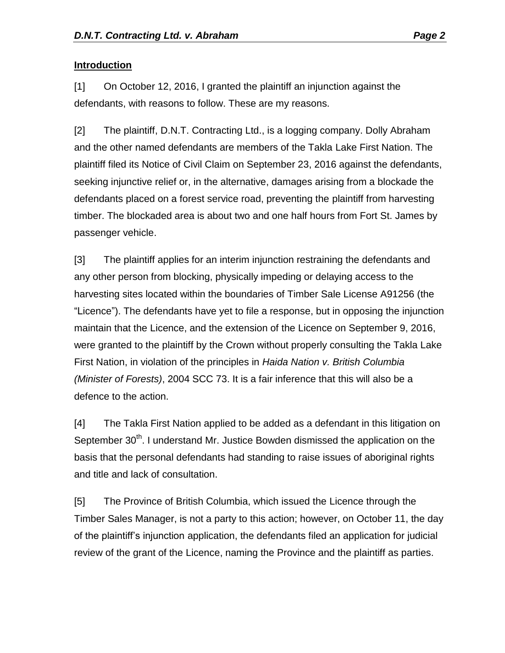#### **Introduction**

[1] On October 12, 2016, I granted the plaintiff an injunction against the defendants, with reasons to follow. These are my reasons.

[2] The plaintiff, D.N.T. Contracting Ltd., is a logging company. Dolly Abraham and the other named defendants are members of the Takla Lake First Nation. The plaintiff filed its Notice of Civil Claim on September 23, 2016 against the defendants, seeking injunctive relief or, in the alternative, damages arising from a blockade the defendants placed on a forest service road, preventing the plaintiff from harvesting timber. The blockaded area is about two and one half hours from Fort St. James by passenger vehicle.

[3] The plaintiff applies for an interim injunction restraining the defendants and any other person from blocking, physically impeding or delaying access to the harvesting sites located within the boundaries of Timber Sale License A91256 (the "Licence"). The defendants have yet to file a response, but in opposing the injunction maintain that the Licence, and the extension of the Licence on September 9, 2016, were granted to the plaintiff by the Crown without properly consulting the Takla Lake First Nation, in violation of the principles in *Haida Nation v. British Columbia (Minister of Forests)*, 2004 SCC 73. It is a fair inference that this will also be a defence to the action.

[4] The Takla First Nation applied to be added as a defendant in this litigation on September 30<sup>th</sup>. I understand Mr. Justice Bowden dismissed the application on the basis that the personal defendants had standing to raise issues of aboriginal rights and title and lack of consultation.

[5] The Province of British Columbia, which issued the Licence through the Timber Sales Manager, is not a party to this action; however, on October 11, the day of the plaintiff's injunction application, the defendants filed an application for judicial review of the grant of the Licence, naming the Province and the plaintiff as parties.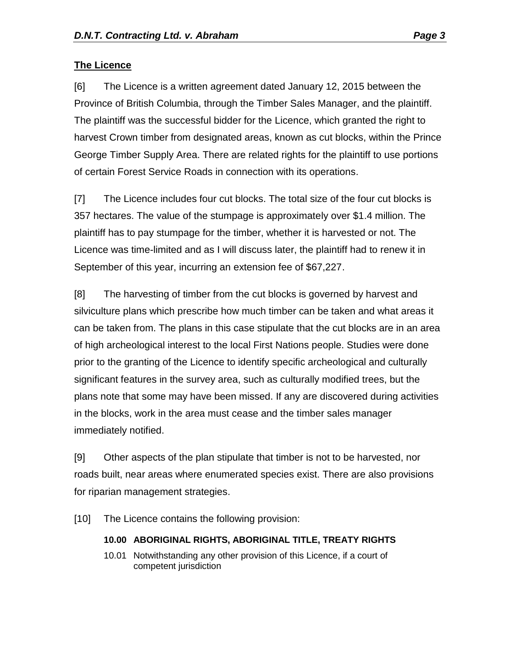#### **The Licence**

[6] The Licence is a written agreement dated January 12, 2015 between the Province of British Columbia, through the Timber Sales Manager, and the plaintiff. The plaintiff was the successful bidder for the Licence, which granted the right to harvest Crown timber from designated areas, known as cut blocks, within the Prince George Timber Supply Area. There are related rights for the plaintiff to use portions of certain Forest Service Roads in connection with its operations.

[7] The Licence includes four cut blocks. The total size of the four cut blocks is 357 hectares. The value of the stumpage is approximately over \$1.4 million. The plaintiff has to pay stumpage for the timber, whether it is harvested or not. The Licence was time-limited and as I will discuss later, the plaintiff had to renew it in September of this year, incurring an extension fee of \$67,227.

[8] The harvesting of timber from the cut blocks is governed by harvest and silviculture plans which prescribe how much timber can be taken and what areas it can be taken from. The plans in this case stipulate that the cut blocks are in an area of high archeological interest to the local First Nations people. Studies were done prior to the granting of the Licence to identify specific archeological and culturally significant features in the survey area, such as culturally modified trees, but the plans note that some may have been missed. If any are discovered during activities in the blocks, work in the area must cease and the timber sales manager immediately notified.

[9] Other aspects of the plan stipulate that timber is not to be harvested, nor roads built, near areas where enumerated species exist. There are also provisions for riparian management strategies.

[10] The Licence contains the following provision:

## **10.00 ABORIGINAL RIGHTS, ABORIGINAL TITLE, TREATY RIGHTS**

10.01 Notwithstanding any other provision of this Licence, if a court of competent jurisdiction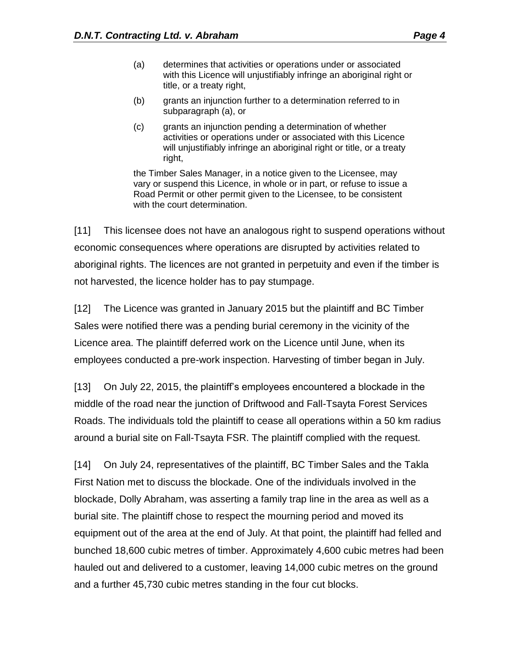- (a) determines that activities or operations under or associated with this Licence will unjustifiably infringe an aboriginal right or title, or a treaty right,
- (b) grants an injunction further to a determination referred to in subparagraph (a), or
- (c) grants an injunction pending a determination of whether activities or operations under or associated with this Licence will unjustifiably infringe an aboriginal right or title, or a treaty right,

the Timber Sales Manager, in a notice given to the Licensee, may vary or suspend this Licence, in whole or in part, or refuse to issue a Road Permit or other permit given to the Licensee, to be consistent with the court determination.

[11] This licensee does not have an analogous right to suspend operations without economic consequences where operations are disrupted by activities related to aboriginal rights. The licences are not granted in perpetuity and even if the timber is not harvested, the licence holder has to pay stumpage.

[12] The Licence was granted in January 2015 but the plaintiff and BC Timber Sales were notified there was a pending burial ceremony in the vicinity of the Licence area. The plaintiff deferred work on the Licence until June, when its employees conducted a pre-work inspection. Harvesting of timber began in July.

[13] On July 22, 2015, the plaintiff's employees encountered a blockade in the middle of the road near the junction of Driftwood and Fall-Tsayta Forest Services Roads. The individuals told the plaintiff to cease all operations within a 50 km radius around a burial site on Fall-Tsayta FSR. The plaintiff complied with the request.

[14] On July 24, representatives of the plaintiff, BC Timber Sales and the Takla First Nation met to discuss the blockade. One of the individuals involved in the blockade, Dolly Abraham, was asserting a family trap line in the area as well as a burial site. The plaintiff chose to respect the mourning period and moved its equipment out of the area at the end of July. At that point, the plaintiff had felled and bunched 18,600 cubic metres of timber. Approximately 4,600 cubic metres had been hauled out and delivered to a customer, leaving 14,000 cubic metres on the ground and a further 45,730 cubic metres standing in the four cut blocks.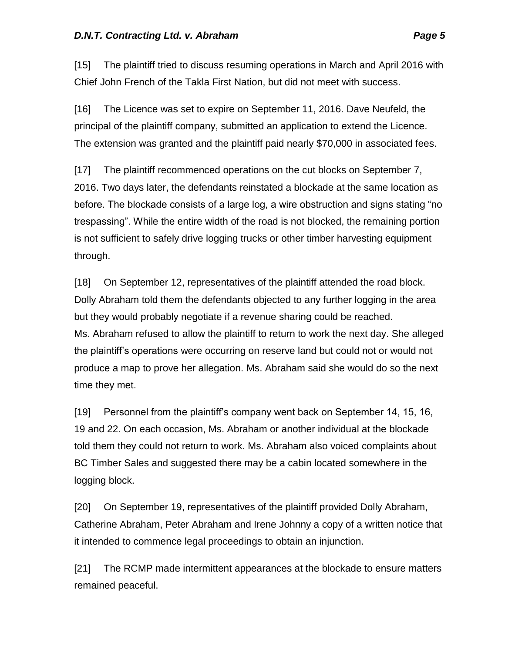[15] The plaintiff tried to discuss resuming operations in March and April 2016 with Chief John French of the Takla First Nation, but did not meet with success.

[16] The Licence was set to expire on September 11, 2016. Dave Neufeld, the principal of the plaintiff company, submitted an application to extend the Licence. The extension was granted and the plaintiff paid nearly \$70,000 in associated fees.

[17] The plaintiff recommenced operations on the cut blocks on September 7, 2016. Two days later, the defendants reinstated a blockade at the same location as before. The blockade consists of a large log, a wire obstruction and signs stating "no trespassing". While the entire width of the road is not blocked, the remaining portion is not sufficient to safely drive logging trucks or other timber harvesting equipment through.

[18] On September 12, representatives of the plaintiff attended the road block. Dolly Abraham told them the defendants objected to any further logging in the area but they would probably negotiate if a revenue sharing could be reached. Ms. Abraham refused to allow the plaintiff to return to work the next day. She alleged the plaintiff's operations were occurring on reserve land but could not or would not produce a map to prove her allegation. Ms. Abraham said she would do so the next time they met.

[19] Personnel from the plaintiff's company went back on September 14, 15, 16, 19 and 22. On each occasion, Ms. Abraham or another individual at the blockade told them they could not return to work. Ms. Abraham also voiced complaints about BC Timber Sales and suggested there may be a cabin located somewhere in the logging block.

[20] On September 19, representatives of the plaintiff provided Dolly Abraham, Catherine Abraham, Peter Abraham and Irene Johnny a copy of a written notice that it intended to commence legal proceedings to obtain an injunction.

[21] The RCMP made intermittent appearances at the blockade to ensure matters remained peaceful.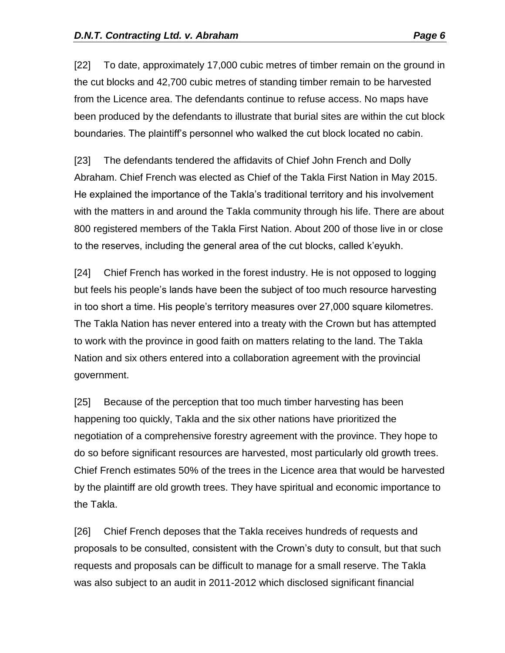[22] To date, approximately 17,000 cubic metres of timber remain on the ground in the cut blocks and 42,700 cubic metres of standing timber remain to be harvested from the Licence area. The defendants continue to refuse access. No maps have been produced by the defendants to illustrate that burial sites are within the cut block boundaries. The plaintiff's personnel who walked the cut block located no cabin.

[23] The defendants tendered the affidavits of Chief John French and Dolly Abraham. Chief French was elected as Chief of the Takla First Nation in May 2015. He explained the importance of the Takla's traditional territory and his involvement with the matters in and around the Takla community through his life. There are about 800 registered members of the Takla First Nation. About 200 of those live in or close to the reserves, including the general area of the cut blocks, called k'eyukh.

[24] Chief French has worked in the forest industry. He is not opposed to logging but feels his people's lands have been the subject of too much resource harvesting in too short a time. His people's territory measures over 27,000 square kilometres. The Takla Nation has never entered into a treaty with the Crown but has attempted to work with the province in good faith on matters relating to the land. The Takla Nation and six others entered into a collaboration agreement with the provincial government.

[25] Because of the perception that too much timber harvesting has been happening too quickly, Takla and the six other nations have prioritized the negotiation of a comprehensive forestry agreement with the province. They hope to do so before significant resources are harvested, most particularly old growth trees. Chief French estimates 50% of the trees in the Licence area that would be harvested by the plaintiff are old growth trees. They have spiritual and economic importance to the Takla.

[26] Chief French deposes that the Takla receives hundreds of requests and proposals to be consulted, consistent with the Crown's duty to consult, but that such requests and proposals can be difficult to manage for a small reserve. The Takla was also subject to an audit in 2011-2012 which disclosed significant financial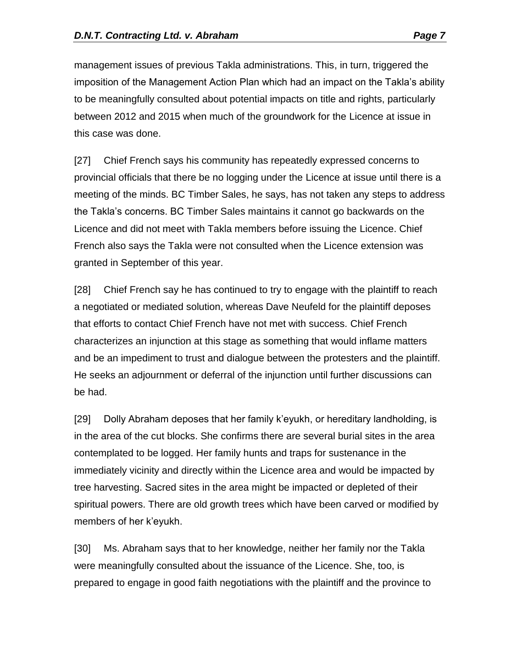management issues of previous Takla administrations. This, in turn, triggered the imposition of the Management Action Plan which had an impact on the Takla's ability to be meaningfully consulted about potential impacts on title and rights, particularly between 2012 and 2015 when much of the groundwork for the Licence at issue in this case was done.

[27] Chief French says his community has repeatedly expressed concerns to provincial officials that there be no logging under the Licence at issue until there is a meeting of the minds. BC Timber Sales, he says, has not taken any steps to address the Takla's concerns. BC Timber Sales maintains it cannot go backwards on the Licence and did not meet with Takla members before issuing the Licence. Chief French also says the Takla were not consulted when the Licence extension was granted in September of this year.

[28] Chief French say he has continued to try to engage with the plaintiff to reach a negotiated or mediated solution, whereas Dave Neufeld for the plaintiff deposes that efforts to contact Chief French have not met with success. Chief French characterizes an injunction at this stage as something that would inflame matters and be an impediment to trust and dialogue between the protesters and the plaintiff. He seeks an adjournment or deferral of the injunction until further discussions can be had.

[29] Dolly Abraham deposes that her family k'eyukh, or hereditary landholding, is in the area of the cut blocks. She confirms there are several burial sites in the area contemplated to be logged. Her family hunts and traps for sustenance in the immediately vicinity and directly within the Licence area and would be impacted by tree harvesting. Sacred sites in the area might be impacted or depleted of their spiritual powers. There are old growth trees which have been carved or modified by members of her k'eyukh.

[30] Ms. Abraham says that to her knowledge, neither her family nor the Takla were meaningfully consulted about the issuance of the Licence. She, too, is prepared to engage in good faith negotiations with the plaintiff and the province to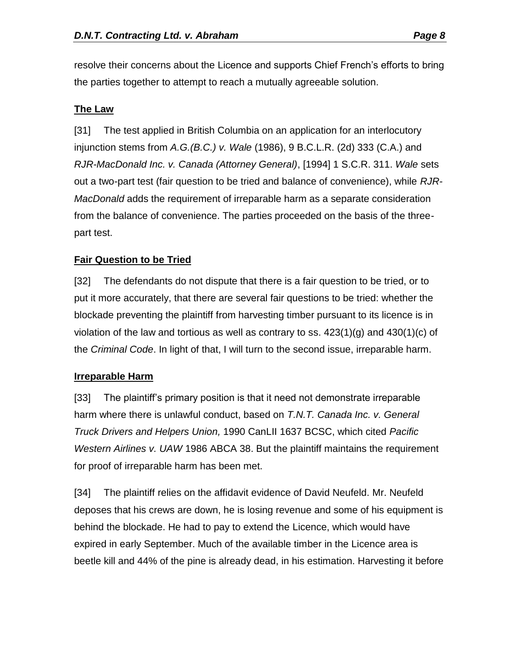resolve their concerns about the Licence and supports Chief French's efforts to bring the parties together to attempt to reach a mutually agreeable solution.

### **The Law**

[31] The test applied in British Columbia on an application for an interlocutory injunction stems from *A.G.(B.C.) v. Wale* (1986), 9 B.C.L.R. (2d) 333 (C.A.) and *RJR-MacDonald Inc. v. Canada (Attorney General)*, [1994] 1 S.C.R. 311. *Wale* sets out a two-part test (fair question to be tried and balance of convenience), while *RJR-MacDonald* adds the requirement of irreparable harm as a separate consideration from the balance of convenience. The parties proceeded on the basis of the threepart test.

## **Fair Question to be Tried**

[32] The defendants do not dispute that there is a fair question to be tried, or to put it more accurately, that there are several fair questions to be tried: whether the blockade preventing the plaintiff from harvesting timber pursuant to its licence is in violation of the law and tortious as well as contrary to ss.  $423(1)(q)$  and  $430(1)(q)$  of the *Criminal Code*. In light of that, I will turn to the second issue, irreparable harm.

#### **Irreparable Harm**

[33] The plaintiff's primary position is that it need not demonstrate irreparable harm where there is unlawful conduct, based on *T.N.T. Canada Inc. v. General Truck Drivers and Helpers Union,* 1990 CanLII 1637 BCSC, which cited *Pacific Western Airlines v. UAW* 1986 ABCA 38. But the plaintiff maintains the requirement for proof of irreparable harm has been met.

[34] The plaintiff relies on the affidavit evidence of David Neufeld. Mr. Neufeld deposes that his crews are down, he is losing revenue and some of his equipment is behind the blockade. He had to pay to extend the Licence, which would have expired in early September. Much of the available timber in the Licence area is beetle kill and 44% of the pine is already dead, in his estimation. Harvesting it before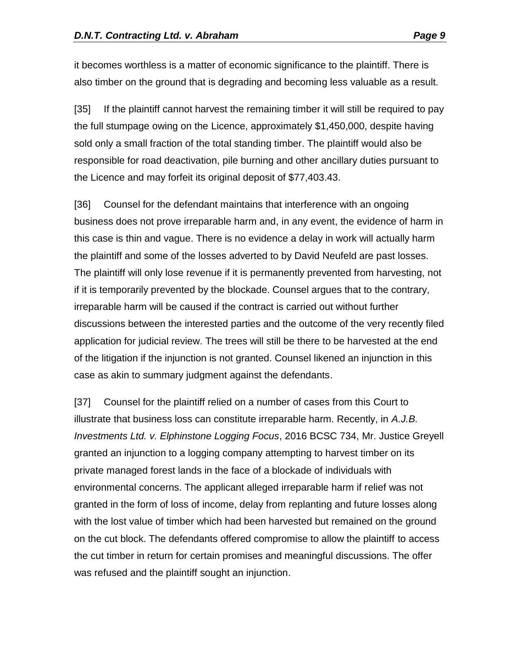it becomes worthless is a matter of economic significance to the plaintiff. There is also timber on the ground that is degrading and becoming less valuable as a result.

[35] If the plaintiff cannot harvest the remaining timber it will still be required to pay the full stumpage owing on the Licence, approximately \$1,450,000, despite having sold only a small fraction of the total standing timber. The plaintiff would also be responsible for road deactivation, pile burning and other ancillary duties pursuant to the Licence and may forfeit its original deposit of \$77,403.43.

[36] Counsel for the defendant maintains that interference with an ongoing business does not prove irreparable harm and, in any event, the evidence of harm in this case is thin and vague. There is no evidence a delay in work will actually harm the plaintiff and some of the losses adverted to by David Neufeld are past losses. The plaintiff will only lose revenue if it is permanently prevented from harvesting, not if it is temporarily prevented by the blockade. Counsel argues that to the contrary, irreparable harm will be caused if the contract is carried out without further discussions between the interested parties and the outcome of the very recently filed application for judicial review. The trees will still be there to be harvested at the end of the litigation if the injunction is not granted. Counsel likened an injunction in this case as akin to summary judgment against the defendants.

[37] Counsel for the plaintiff relied on a number of cases from this Court to illustrate that business loss can constitute irreparable harm. Recently, in *A.J.B. Investments Ltd. v. Elphinstone Logging Focus*, 2016 BCSC 734, Mr. Justice Greyell granted an injunction to a logging company attempting to harvest timber on its private managed forest lands in the face of a blockade of individuals with environmental concerns. The applicant alleged irreparable harm if relief was not granted in the form of loss of income, delay from replanting and future losses along with the lost value of timber which had been harvested but remained on the ground on the cut block. The defendants offered compromise to allow the plaintiff to access the cut timber in return for certain promises and meaningful discussions. The offer was refused and the plaintiff sought an injunction.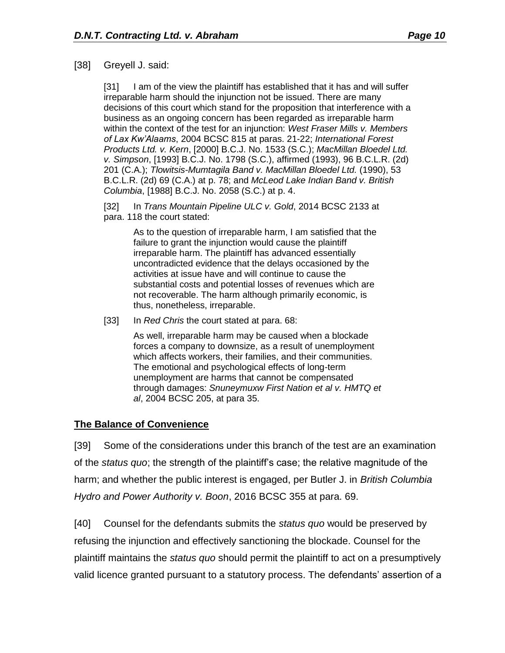#### [38] Greyell J. said:

[31] I am of the view the plaintiff has established that it has and will suffer irreparable harm should the injunction not be issued. There are many decisions of this court which stand for the proposition that interference with a business as an ongoing concern has been regarded as irreparable harm within the context of the test for an injunction: *West Fraser Mills v. Members of Lax Kw'Alaams*, 2004 BCSC 815 at paras. 21-22; *International Forest Products Ltd. v. Kern*, [2000] B.C.J. No. 1533 (S.C.); *MacMillan Bloedel Ltd. v. Simpson*, [1993] B.C.J. No. 1798 (S.C.), affirmed (1993), 96 B.C.L.R. (2d) 201 (C.A.); *Tlowitsis-Mumtagila Band v. MacMillan Bloedel Ltd.* (1990), 53 B.C.L.R. (2d) 69 (C.A.) at p. 78; and *McLeod Lake Indian Band v. British Columbia*, [1988] B.C.J. No. 2058 (S.C.) at p. 4.

[32] In *Trans Mountain Pipeline ULC v. Gold*, 2014 BCSC 2133 at para. 118 the court stated:

> As to the question of irreparable harm, I am satisfied that the failure to grant the injunction would cause the plaintiff irreparable harm. The plaintiff has advanced essentially uncontradicted evidence that the delays occasioned by the activities at issue have and will continue to cause the substantial costs and potential losses of revenues which are not recoverable. The harm although primarily economic, is thus, nonetheless, irreparable.

[33] In *Red Chris* the court stated at para. 68:

As well, irreparable harm may be caused when a blockade forces a company to downsize, as a result of unemployment which affects workers, their families, and their communities. The emotional and psychological effects of long-term unemployment are harms that cannot be compensated through damages: *Snuneymuxw First Nation et al v. HMTQ et al*, 2004 BCSC 205, at para 35.

#### **The Balance of Convenience**

[39] Some of the considerations under this branch of the test are an examination of the *status quo*; the strength of the plaintiff's case; the relative magnitude of the harm; and whether the public interest is engaged, per Butler J. in *British Columbia Hydro and Power Authority v. Boon*, 2016 BCSC 355 at para. 69.

[40] Counsel for the defendants submits the *status quo* would be preserved by refusing the injunction and effectively sanctioning the blockade. Counsel for the plaintiff maintains the *status quo* should permit the plaintiff to act on a presumptively valid licence granted pursuant to a statutory process. The defendants' assertion of a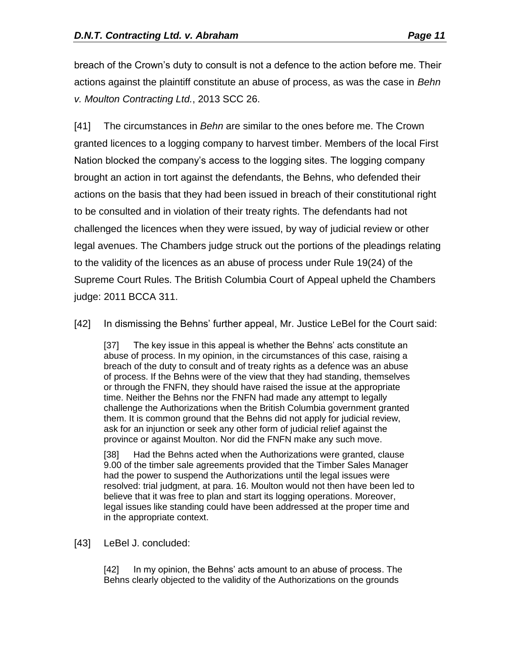breach of the Crown's duty to consult is not a defence to the action before me. Their actions against the plaintiff constitute an abuse of process, as was the case in *Behn v. Moulton Contracting Ltd.*, 2013 SCC 26.

[41] The circumstances in *Behn* are similar to the ones before me. The Crown granted licences to a logging company to harvest timber. Members of the local First Nation blocked the company's access to the logging sites. The logging company brought an action in tort against the defendants, the Behns, who defended their actions on the basis that they had been issued in breach of their constitutional right to be consulted and in violation of their treaty rights. The defendants had not challenged the licences when they were issued, by way of judicial review or other legal avenues. The Chambers judge struck out the portions of the pleadings relating to the validity of the licences as an abuse of process under Rule 19(24) of the Supreme Court Rules. The British Columbia Court of Appeal upheld the Chambers judge: 2011 BCCA 311.

[42] In dismissing the Behns' further appeal, Mr. Justice LeBel for the Court said:

[37] The key issue in this appeal is whether the Behns' acts constitute an abuse of process. In my opinion, in the circumstances of this case, raising a breach of the duty to consult and of treaty rights as a defence was an abuse of process. If the Behns were of the view that they had standing, themselves or through the FNFN, they should have raised the issue at the appropriate time. Neither the Behns nor the FNFN had made any attempt to legally challenge the Authorizations when the British Columbia government granted them. It is common ground that the Behns did not apply for judicial review, ask for an injunction or seek any other form of judicial relief against the province or against Moulton. Nor did the FNFN make any such move.

[38] Had the Behns acted when the Authorizations were granted, clause 9.00 of the timber sale agreements provided that the Timber Sales Manager had the power to suspend the Authorizations until the legal issues were resolved: trial judgment, at para. 16. Moulton would not then have been led to believe that it was free to plan and start its logging operations. Moreover, legal issues like standing could have been addressed at the proper time and in the appropriate context.

[43] LeBel J. concluded:

[42] In my opinion, the Behns' acts amount to an abuse of process. The Behns clearly objected to the validity of the Authorizations on the grounds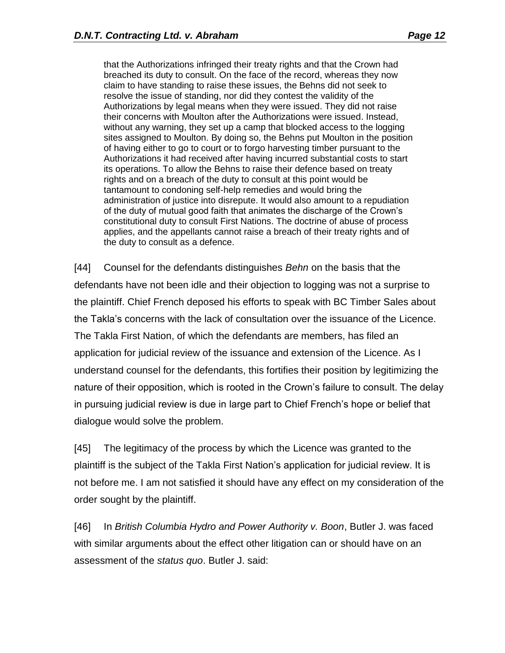that the Authorizations infringed their treaty rights and that the Crown had breached its duty to consult. On the face of the record, whereas they now claim to have standing to raise these issues, the Behns did not seek to resolve the issue of standing, nor did they contest the validity of the Authorizations by legal means when they were issued. They did not raise their concerns with Moulton after the Authorizations were issued. Instead, without any warning, they set up a camp that blocked access to the logging sites assigned to Moulton. By doing so, the Behns put Moulton in the position of having either to go to court or to forgo harvesting timber pursuant to the Authorizations it had received after having incurred substantial costs to start its operations. To allow the Behns to raise their defence based on treaty rights and on a breach of the duty to consult at this point would be tantamount to condoning self-help remedies and would bring the administration of justice into disrepute. It would also amount to a repudiation of the duty of mutual good faith that animates the discharge of the Crown's constitutional duty to consult First Nations. The doctrine of abuse of process applies, and the appellants cannot raise a breach of their treaty rights and of the duty to consult as a defence.

[44] Counsel for the defendants distinguishes *Behn* on the basis that the defendants have not been idle and their objection to logging was not a surprise to the plaintiff. Chief French deposed his efforts to speak with BC Timber Sales about the Takla's concerns with the lack of consultation over the issuance of the Licence. The Takla First Nation, of which the defendants are members, has filed an application for judicial review of the issuance and extension of the Licence. As I understand counsel for the defendants, this fortifies their position by legitimizing the nature of their opposition, which is rooted in the Crown's failure to consult. The delay in pursuing judicial review is due in large part to Chief French's hope or belief that dialogue would solve the problem.

[45] The legitimacy of the process by which the Licence was granted to the plaintiff is the subject of the Takla First Nation's application for judicial review. It is not before me. I am not satisfied it should have any effect on my consideration of the order sought by the plaintiff.

[46] In *British Columbia Hydro and Power Authority v. Boon*, Butler J. was faced with similar arguments about the effect other litigation can or should have on an assessment of the *status quo*. Butler J. said: